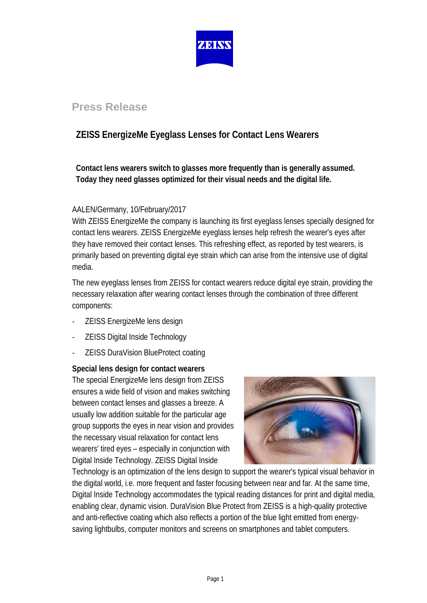

## **Press Release**

# **ZEISS EnergizeMe Eyeglass Lenses for Contact Lens Wearers**

**Contact lens wearers switch to glasses more frequently than is generally assumed. Today they need glasses optimized for their visual needs and the digital life.**

### AALEN/Germany, 10/February/2017

With ZEISS EnergizeMe the company is launching its first eyeglass lenses specially designed for contact lens wearers. ZEISS EnergizeMe eyeglass lenses help refresh the wearer's eyes after they have removed their contact lenses. This refreshing effect, as reported by test wearers, is primarily based on preventing digital eye strain which can arise from the intensive use of digital media.

The new eyeglass lenses from ZEISS for contact wearers reduce digital eye strain, providing the necessary relaxation after wearing contact lenses through the combination of three different components:

- ZEISS EnergizeMe lens design
- ZEISS Digital Inside Technology
- ZEISS DuraVision BlueProtect coating

### **Special lens design for contact wearers**

The special EnergizeMe lens design from ZEISS ensures a wide field of vision and makes switching between contact lenses and glasses a breeze. A usually low addition suitable for the particular age group supports the eyes in near vision and provides the necessary visual relaxation for contact lens wearers' tired eyes – especially in conjunction with Digital Inside Technology. ZEISS Digital Inside



Technology is an optimization of the lens design to support the wearer's typical visual behavior in the digital world, i.e. more frequent and faster focusing between near and far. At the same time, Digital Inside Technology accommodates the typical reading distances for print and digital media, enabling clear, dynamic vision. DuraVision Blue Protect from ZEISS is a high-quality protective and anti-reflective coating which also reflects a portion of the blue light emitted from energysaving lightbulbs, computer monitors and screens on smartphones and tablet computers.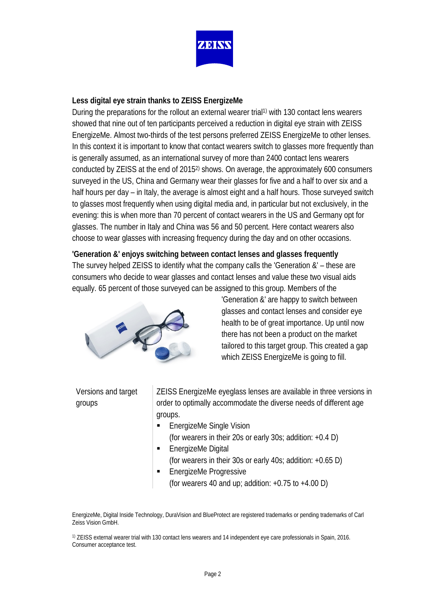

#### **Less digital eye strain thanks to ZEISS EnergizeMe**

During the preparations for the rollout an external wearer trial<sup>1)</sup> with 130 contact lens wearers showed that nine out of ten participants perceived a reduction in digital eye strain with ZEISS EnergizeMe. Almost two-thirds of the test persons preferred ZEISS EnergizeMe to other lenses. In this context it is important to know that contact wearers switch to glasses more frequently than is generally assumed, as an international survey of more than 2400 contact lens wearers conducted by ZEISS at the end of 20152) shows. On average, the approximately 600 consumers surveyed in the US, China and Germany wear their glasses for five and a half to over six and a half hours per day – in Italy, the average is almost eight and a half hours. Those surveyed switch to glasses most frequently when using digital media and, in particular but not exclusively, in the evening: this is when more than 70 percent of contact wearers in the US and Germany opt for glasses. The number in Italy and China was 56 and 50 percent. Here contact wearers also choose to wear glasses with increasing frequency during the day and on other occasions.

## **'Generation &' enjoys switching between contact lenses and glasses frequently** The survey helped ZEISS to identify what the company calls the 'Generation &' – these are consumers who decide to wear glasses and contact lenses and value these two visual aids equally. 65 percent of those surveyed can be assigned to this group. Members of the



'Generation &' are happy to switch between glasses and contact lenses and consider eye health to be of great importance. Up until now there has not been a product on the market tailored to this target group. This created a gap which ZEISS EnergizeMe is going to fill.

### Versions and target groups

ZEISS EnergizeMe eyeglass lenses are available in three versions in order to optimally accommodate the diverse needs of different age groups.

- EnergizeMe Single Vision (for wearers in their 20s or early 30s; addition: +0.4 D)
- **EnergizeMe Digital** 
	- (for wearers in their 30s or early 40s; addition: +0.65 D)
- **EnergizeMe Progressive** (for wearers 40 and up; addition:  $+0.75$  to  $+4.00$  D)

EnergizeMe, Digital Inside Technology, DuraVision and BlueProtect are registered trademarks or pending trademarks of Carl Zeiss Vision GmbH.

1) ZEISS external wearer trial with 130 contact lens wearers and 14 independent eye care professionals in Spain, 2016. Consumer acceptance test.